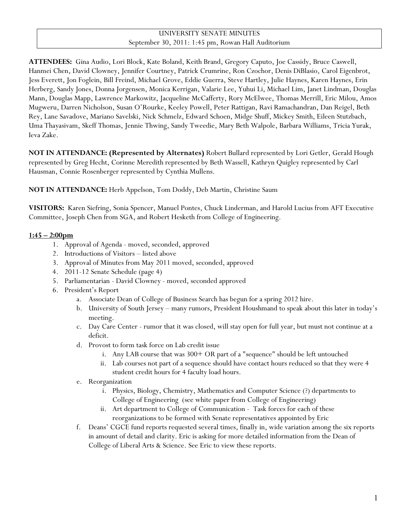# UNIVERSITY SENATE MINUTES September 30, 2011: 1:45 pm, Rowan Hall Auditorium

**ATTENDEES:** Gina Audio, Lori Block, Kate Boland, Keith Brand, Gregory Caputo, Joe Cassidy, Bruce Caswell, Hanmei Chen, David Clowney, Jennifer Courtney, Patrick Crumrine, Ron Czochor, Denis DiBlasio, Carol Eigenbrot, Jess Everett, Jon Foglein, Bill Freind, Michael Grove, Eddie Guerra, Steve Hartley, Julie Haynes, Karen Haynes, Erin Herberg, Sandy Jones, Donna Jorgensen, Monica Kerrigan, Valarie Lee, Yuhui Li, Michael Lim, Janet Lindman, Douglas Mann, Douglas Mapp, Lawrence Markowitz, Jacqueline McCafferty, Rory McElwee, Thomas Merrill, Eric Milou, Amos Mugweru, Darren Nicholson, Susan O'Rourke, Keeley Powell, Peter Rattigan, Ravi Ramachandran, Dan Reigel, Beth Rey, Lane Savadove, Mariano Savelski, Nick Schmelz, Edward Schoen, Midge Shuff, Mickey Smith, Eileen Stutzbach, Uma Thayasivam, Skeff Thomas, Jennie Thwing, Sandy Tweedie, Mary Beth Walpole, Barbara Williams, Tricia Yurak, Ieva Zake.

**NOT IN ATTENDANCE: (Represented by Alternates)** Robert Bullard represented by Lori Getler, Gerald Hough represented by Greg Hecht, Corinne Meredith represented by Beth Wassell, Kathryn Quigley represented by Carl Hausman, Connie Rosenberger represented by Cynthia Mullens.

**NOT IN ATTENDANCE:** Herb Appelson, Tom Doddy, Deb Martin, Christine Saum

**VISITORS:** Karen Siefring, Sonia Spencer, Manuel Pontes, Chuck Linderman, and Harold Lucius from AFT Executive Committee, Joseph Chen from SGA, and Robert Hesketh from College of Engineering.

### **1:45 – 2:00pm**

- 1. Approval of Agenda moved, seconded, approved
- 2. Introductions of Visitors listed above
- 3. Approval of Minutes from May 2011 moved, seconded, approved
- 4. 2011-12 Senate Schedule (page 4)
- 5. Parliamentarian David Clowney moved, seconded approved
- 6. President's Report
	- a. Associate Dean of College of Business Search has begun for a spring 2012 hire.
	- b. University of South Jersey many rumors, President Houshmand to speak about this later in today's meeting.
	- c. Day Care Center rumor that it was closed, will stay open for full year, but must not continue at a deficit.
	- d. Provost to form task force on Lab credit issue
		- i. Any LAB course that was 300+ OR part of a "sequence" should be left untouched
		- ii. Lab courses not part of a sequence should have contact hours reduced so that they were 4 student credit hours for 4 faculty load hours.
	- e. Reorganization
		- i. Physics, Biology, Chemistry, Mathematics and Computer Science (?) departments to College of Engineering (see white paper from College of Engineering)
		- ii. Art department to College of Communication Task forces for each of these reorganizations to be formed with Senate representatives appointed by Eric
	- f. Deans' CGCE fund reports requested several times, finally in, wide variation among the six reports in amount of detail and clarity. Eric is asking for more detailed information from the Dean of College of Liberal Arts & Science. See Eric to view these reports.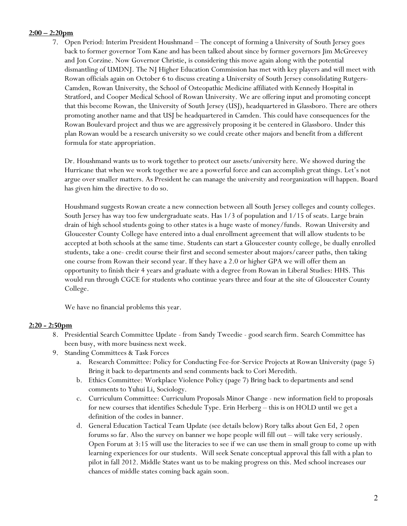### **2:00 – 2:20pm**

7. Open Period: Interim President Houshmand – The concept of forming a University of South Jersey goes back to former governor Tom Kane and has been talked about since by former governors Jim McGreevey and Jon Corzine. Now Governor Christie, is considering this move again along with the potential dismantling of UMDNJ. The NJ Higher Education Commission has met with key players and will meet with Rowan officials again on October 6 to discuss creating a University of South Jersey consolidating Rutgers-Camden, Rowan University, the School of Osteopathic Medicine affiliated with Kennedy Hospital in Stratford, and Cooper Medical School of Rowan University. We are offering input and promoting concept that this become Rowan, the University of South Jersey (USJ), headquartered in Glassboro. There are others promoting another name and that USJ be headquartered in Camden. This could have consequences for the Rowan Boulevard project and thus we are aggressively proposing it be centered in Glassboro. Under this plan Rowan would be a research university so we could create other majors and benefit from a different formula for state appropriation.

Dr. Houshmand wants us to work together to protect our assets/university here. We showed during the Hurricane that when we work together we are a powerful force and can accomplish great things. Let's not argue over smaller matters. As President he can manage the university and reorganization will happen. Board has given him the directive to do so.

Houshmand suggests Rowan create a new connection between all South Jersey colleges and county colleges. South Jersey has way too few undergraduate seats. Has 1/3 of population and 1/15 of seats. Large brain drain of high school students going to other states is a huge waste of money/funds. Rowan University and Gloucester County College have entered into a dual enrollment agreement that will allow students to be accepted at both schools at the same time. Students can start a Gloucester county college, be dually enrolled students, take a one- credit course their first and second semester about majors/career paths, then taking one course from Rowan their second year. If they have a 2.0 or higher GPA we will offer them an opportunity to finish their 4 years and graduate with a degree from Rowan in Liberal Studies: HHS. This would run through CGCE for students who continue years three and four at the site of Gloucester County College.

We have no financial problems this year.

#### **2:20 - 2:50pm**

- 8. Presidential Search Committee Update from Sandy Tweedie good search firm. Search Committee has been busy, with more business next week.
- 9. Standing Committees & Task Forces
	- a. Research Committee: Policy for Conducting Fee-for-Service Projects at Rowan University (page 5) Bring it back to departments and send comments back to Cori Meredith.
	- b. Ethics Committee: Workplace Violence Policy (page 7) Bring back to departments and send comments to Yuhui Li, Sociology.
	- c. Curriculum Committee: Curriculum Proposals Minor Change new information field to proposals for new courses that identifies Schedule Type. Erin Herberg – this is on HOLD until we get a definition of the codes in banner.
	- d. General Education Tactical Team Update (see details below) Rory talks about Gen Ed, 2 open forums so far. Also the survey on banner we hope people will fill out – will take very seriously. Open Forum at 3:15 will use the literacies to see if we can use them in small group to come up with learning experiences for our students. Will seek Senate conceptual approval this fall with a plan to pilot in fall 2012. Middle States want us to be making progress on this. Med school increases our chances of middle states coming back again soon.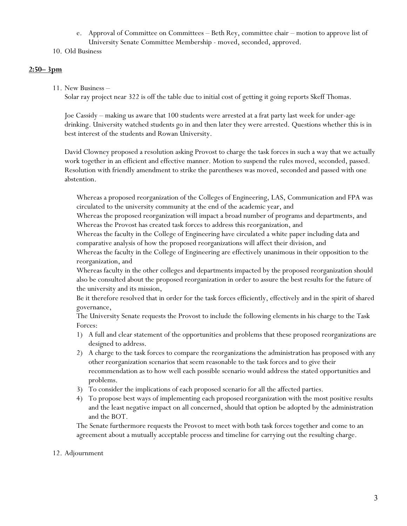- e. Approval of Committee on Committees Beth Rey, committee chair motion to approve list of University Senate Committee Membership - moved, seconded, approved.
- 10. Old Business

### **2:50– 3pm**

#### 11. New Business –

Solar ray project near 322 is off the table due to initial cost of getting it going reports Skeff Thomas.

Joe Cassidy – making us aware that 100 students were arrested at a frat party last week for under-age drinking. University watched students go in and then later they were arrested. Questions whether this is in best interest of the students and Rowan University.

David Clowney proposed a resolution asking Provost to charge the task forces in such a way that we actually work together in an efficient and effective manner. Motion to suspend the rules moved, seconded, passed. Resolution with friendly amendment to strike the parentheses was moved, seconded and passed with one abstention.

Whereas a proposed reorganization of the Colleges of Engineering, LAS, Communication and FPA was circulated to the university community at the end of the academic year, and

Whereas the proposed reorganization will impact a broad number of programs and departments, and Whereas the Provost has created task forces to address this reorganization, and

Whereas the faculty in the College of Engineering have circulated a white paper including data and comparative analysis of how the proposed reorganizations will affect their division, and

Whereas the faculty in the College of Engineering are effectively unanimous in their opposition to the reorganization, and

Whereas faculty in the other colleges and departments impacted by the proposed reorganization should also be consulted about the proposed reorganization in order to assure the best results for the future of the university and its mission,

Be it therefore resolved that in order for the task forces efficiently, effectively and in the spirit of shared governance,

The University Senate requests the Provost to include the following elements in his charge to the Task Forces:

- 1) A full and clear statement of the opportunities and problems that these proposed reorganizations are designed to address.
- 2) A charge to the task forces to compare the reorganizations the administration has proposed with any other reorganization scenarios that seem reasonable to the task forces and to give their recommendation as to how well each possible scenario would address the stated opportunities and problems.
- 3) To consider the implications of each proposed scenario for all the affected parties.
- 4) To propose best ways of implementing each proposed reorganization with the most positive results and the least negative impact on all concerned, should that option be adopted by the administration and the BOT.

The Senate furthermore requests the Provost to meet with both task forces together and come to an agreement about a mutually acceptable process and timeline for carrying out the resulting charge.

#### 12. Adjournment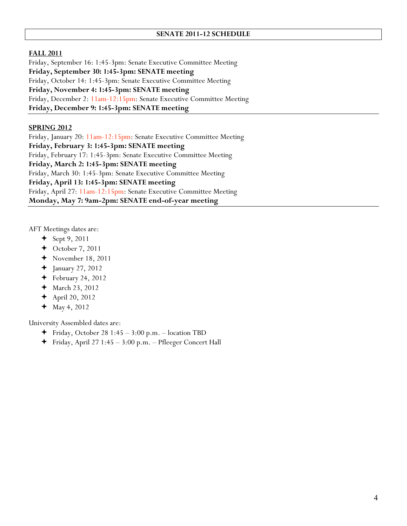#### **FALL 2011**

Friday, September 16: 1:45-3pm: Senate Executive Committee Meeting **Friday, September 30: 1:45-3pm: SENATE meeting** Friday, October 14: 1:45-3pm: Senate Executive Committee Meeting **Friday, November 4: 1:45-3pm: SENATE meeting** Friday, December 2: 11am-12:15pm: Senate Executive Committee Meeting **Friday, December 9: 1:45-3pm: SENATE meeting**

#### **SPRING 2012**

Friday, January 20: 11am-12:15pm: Senate Executive Committee Meeting **Friday, February 3: 1:45-3pm: SENATE meeting** Friday, February 17: 1:45-3pm: Senate Executive Committee Meeting **Friday, March 2: 1:45-3pm: SENATE meeting** Friday, March 30: 1:45-3pm: Senate Executive Committee Meeting **Friday, April 13: 1:45-3pm: SENATE meeting** Friday, April 27: 11am-12:15pm: Senate Executive Committee Meeting **Monday, May 7: 9am-2pm: SENATE end-of-year meeting**

AFT Meetings dates are:

- $+$  Sept 9, 2011
- $\triangleleft$  October 7, 2011
- $\blacklozenge$  November 18, 2011
- January 27, 2012
- $\div$  February 24, 2012
- March 23, 2012
- $\blacklozenge$  April 20, 2012
- $+$  May 4, 2012

University Assembled dates are:

- Friday, October 28 1:45 3:00 p.m. location TBD
- $\blacklozenge$  Friday, April 27 1:45 3:00 p.m. Pfleeger Concert Hall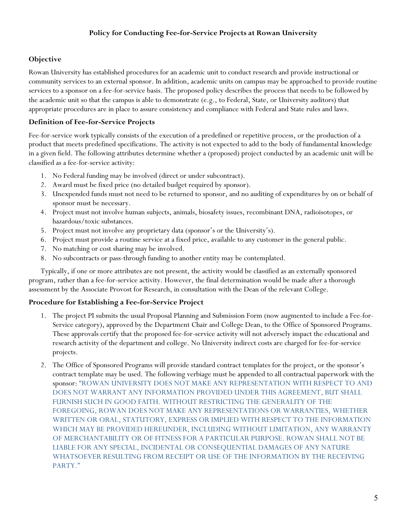## **Objective**

Rowan University has established procedures for an academic unit to conduct research and provide instructional or community services to an external sponsor. In addition, academic units on campus may be approached to provide routine services to a sponsor on a fee-for-service basis. The proposed policy describes the process that needs to be followed by the academic unit so that the campus is able to demonstrate (e.g., to Federal, State, or University auditors) that appropriate procedures are in place to assure consistency and compliance with Federal and State rules and laws.

# **Definition of Fee-for-Service Projects**

Fee-for-service work typically consists of the execution of a predefined or repetitive process, or the production of a product that meets predefined specifications. The activity is not expected to add to the body of fundamental knowledge in a given field. The following attributes determine whether a (proposed) project conducted by an academic unit will be classified as a fee-for-service activity:

- 1. No Federal funding may be involved (direct or under subcontract).
- 2. Award must be fixed price (no detailed budget required by sponsor).
- 3. Unexpended funds must not need to be returned to sponsor, and no auditing of expenditures by on or behalf of sponsor must be necessary.
- 4. Project must not involve human subjects, animals, biosafety issues, recombinant DNA, radioisotopes, or hazardous/toxic substances.
- 5. Project must not involve any proprietary data (sponsor's or the University's).
- 6. Project must provide a routine service at a fixed price, available to any customer in the general public.
- 7. No matching or cost sharing may be involved.
- 8. No subcontracts or pass-through funding to another entity may be contemplated.

Typically, if one or more attributes are not present, the activity would be classified as an externally sponsored program, rather than a fee-for-service activity. However, the final determination would be made after a thorough assessment by the Associate Provost for Research, in consultation with the Dean of the relevant College.

## **Procedure for Establishing a Fee-for-Service Project**

- 1. The project PI submits the usual Proposal Planning and Submission Form (now augmented to include a Fee-for-Service category), approved by the Department Chair and College Dean, to the Office of Sponsored Programs. These approvals certify that the proposed fee-for-service activity will not adversely impact the educational and research activity of the department and college. No University indirect costs are charged for fee-for-service projects.
- 2. The Office of Sponsored Programs will provide standard contract templates for the project, or the sponsor's contract template may be used. The following verbiage must be appended to all contractual paperwork with the sponsor: "ROWAN UNIVERSITY DOES NOT MAKE ANY REPRESENTATION WITH RESPECT TO AND DOES NOT WARRANT ANY INFORMATION PROVIDED UNDER THIS AGREEMENT, BUT SHALL FURNISH SUCH IN GOOD FAITH. WITHOUT RESTRICTING THE GENERALITY OF THE FOREGOING, ROWAN DOES NOT MAKE ANY REPRESENTATIONS OR WARRANTIES, WHETHER WRITTEN OR ORAL, STATUTORY, EXPRESS OR IMPLIED WITH RESPECT TO THE INFORMATION WHICH MAY BE PROVIDED HEREUNDER, INCLUDING WITHOUT LIMITATION, ANY WARRANTY OF MERCHANTABILITY OR OF FITNESS FOR A PARTICULAR PURPOSE. ROWAN SHALL NOT BE LIABLE FOR ANY SPECIAL, INCIDENTAL OR CONSEQUENTIAL DAMAGES OF ANY NATURE WHATSOEVER RESULTING FROM RECEIPT OR USE OF THE INFORMATION BY THE RECEIVING PARTY."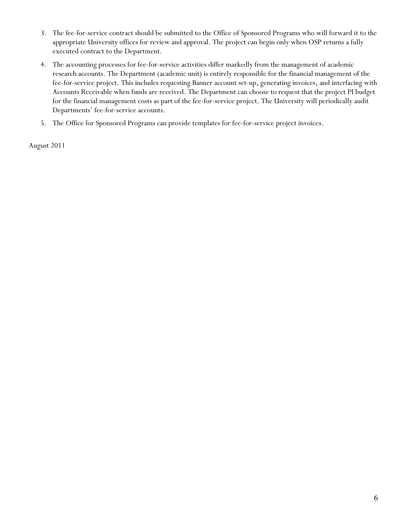- 3. The fee-for-service contract should be submitted to the Office of Sponsored Programs who will forward it to the appropriate University offices for review and approval. The project can begin only when OSP returns a fully executed contract to the Department.
- 4. The accounting processes for fee-for-service activities differ markedly from the management of academic research accounts. The Department (academic unit) is entirely responsible for the financial management of the fee-for-service project. This includes requesting Banner account set-up, generating invoices, and interfacing with Accounts Receivable when funds are received. The Department can choose to request that the project PI budget for the financial management costs as part of the fee-for-service project. The University will periodically audit Departments' fee-for-service accounts.
- 5. The Office for Sponsored Programs can provide templates for fee-for-service project invoices.

August 2011